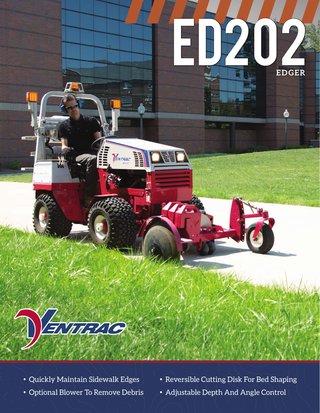



BUTTELLO

 $\frac{1}{\frac{1}{2}}$ 

- 
- Quickly Maintain Sidewalk Edges Reversible Cutting Disk For Bed Shaping
- Optional Blower To Remove Debris Adjustable Depth And Angle Control